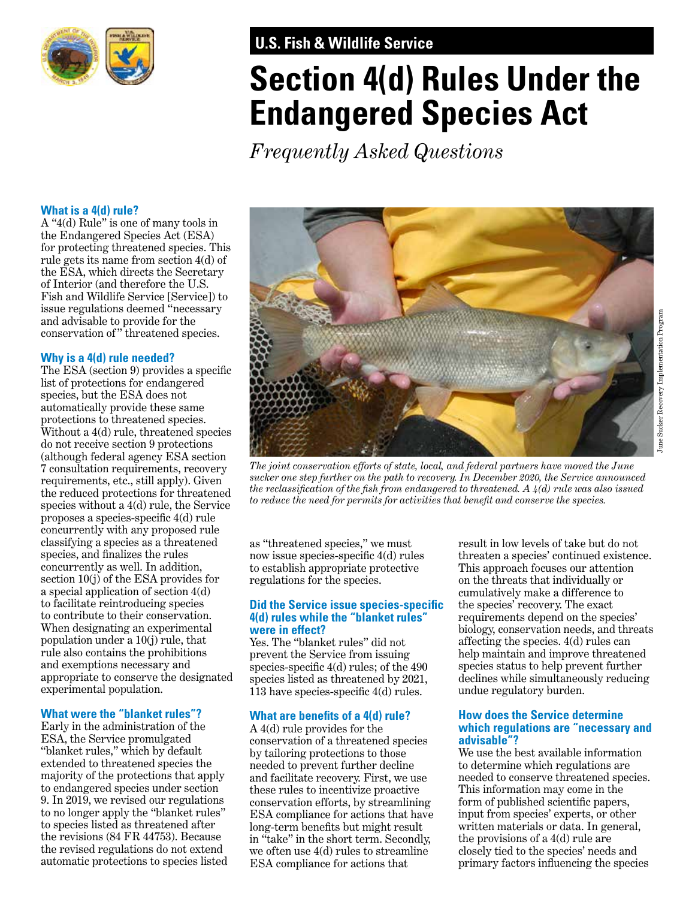

# **U.S. Fish & Wildlife Service**

# **Section 4(d) Rules Under the Endangered Species Act**

*Frequently Asked Questions* 

#### **What is a 4(d) rule?**

A "4(d) Rule" is one of many tools in the Endangered Species Act (ESA) for protecting threatened species. This rule gets its name from section 4(d) of the ESA, which directs the Secretary of Interior (and therefore the U.S. Fish and Wildlife Service [Service]) to issue regulations deemed "necessary and advisable to provide for the conservation of " threatened species.

## **Why is a 4(d) rule needed?**

The ESA (section 9) provides a specifc list of protections for endangered species, but the ESA does not automatically provide these same protections to threatened species. Without a 4(d) rule, threatened species do not receive section 9 protections (although federal agency ESA section 7 consultation requirements, recovery requirements, etc., still apply). Given the reduced protections for threatened species without a 4(d) rule, the Service proposes a species-specifc 4(d) rule concurrently with any proposed rule classifying a species as a threatened species, and fnalizes the rules concurrently as well. In addition, section 10(j) of the ESA provides for a special application of section 4(d) to facilitate reintroducing species to contribute to their conservation. When designating an experimental population under a 10(j) rule, that rule also contains the prohibitions and exemptions necessary and appropriate to conserve the designated experimental population.

## **What were the "blanket rules"?**

Early in the administration of the ESA, the Service promulgated "blanket rules," which by default extended to threatened species the majority of the protections that apply to endangered species under section 9. In 2019, we revised our regulations to no longer apply the "blanket rules" to species listed as threatened after the revisions (84 FR 44753). Because the revised regulations do not extend automatic protections to species listed



*The joint conservation efforts of state, local, and federal partners have moved the June sucker one step further on the path to recovery. In December 2020, the Service announced the reclassifcation of the fsh from endangered to threatened. A 4(d) rule was also issued to reduce the need for permits for activities that beneft and conserve the species.* 

as "threatened species," we must now issue species-specific 4(d) rules to establish appropriate protective regulations for the species.

#### **Did the Service issue species-specifc 4(d) rules while the "blanket rules" were in effect?**

Yes. The "blanket rules" did not prevent the Service from issuing species-specifc 4(d) rules; of the 490 species listed as threatened by 2021, 113 have species-specific 4(d) rules.

## **What are benefts of a 4(d) rule?**

A 4(d) rule provides for the conservation of a threatened species by tailoring protections to those needed to prevent further decline and facilitate recovery. First, we use these rules to incentivize proactive conservation efforts, by streamlining ESA compliance for actions that have long-term benefts but might result in "take" in the short term. Secondly, we often use 4(d) rules to streamline ESA compliance for actions that

result in low levels of take but do not threaten a species' continued existence. This approach focuses our attention on the threats that individually or cumulatively make a difference to the species' recovery. The exact requirements depend on the species' biology, conservation needs, and threats affecting the species. 4(d) rules can help maintain and improve threatened species status to help prevent further declines while simultaneously reducing undue regulatory burden.

## **How does the Service determine which regulations are "necessary and advisable"?**

We use the best available information to determine which regulations are needed to conserve threatened species. This information may come in the form of published scientifc papers, input from species' experts, or other written materials or data. In general, the provisions of a 4(d) rule are closely tied to the species' needs and primary factors infuencing the species